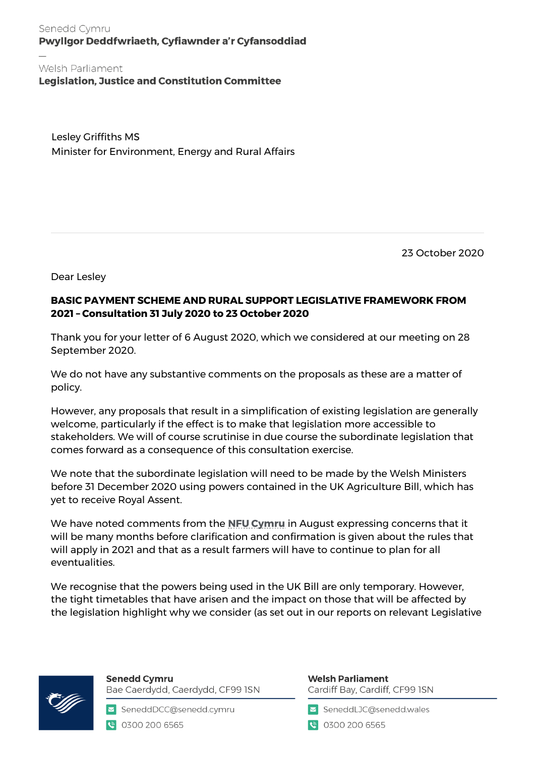Senedd Cymru Pwyllgor Deddfwriaeth, Cyfiawnder a'r Cyfansoddiad

Welsh Parliament **Legislation, Justice and Constitution Committee** 

Lesley Griffiths MS Minister for Environment, Energy and Rural Affairs

23 October 2020

Dear Lesley

## **BASIC PAYMENT SCHEME AND RURAL SUPPORT LEGISLATIVE FRAMEWORK FROM 2021 – Consultation 31 July 2020 to 23 October 2020**

Thank you for your letter of 6 August 2020, which we considered at our meeting on 28 September 2020.

We do not have any substantive comments on the proposals as these are a matter of policy.

However, any proposals that result in a simplification of existing legislation are generally welcome, particularly if the effect is to make that legislation more accessible to stakeholders. We will of course scrutinise in due course the subordinate legislation that comes forward as a consequence of this consultation exercise.

We note that the subordinate legislation will need to be made by the Welsh Ministers before 31 December 2020 using powers contained in the UK Agriculture Bill, which has yet to receive Royal Assent.

We have noted comments from the **[NFU Cymru](https://www.nfu-cymru.org.uk/cross-sector/food-chain/proposals-to-continue-and-simplify-agricultural-su/)** in August expressing concerns that it will be many months before clarification and confirmation is given about the rules that will apply in 2021 and that as a result farmers will have to continue to plan for all eventualities.

We recognise that the powers being used in the UK Bill are only temporary. However, the tight timetables that have arisen and the impact on those that will be affected by the legislation highlight why we consider (as set out in our reports on relevant Legislative



**Senedd Cymru** Bae Caerdydd, Caerdydd, CF99 ISN

SeneddDCC@senedd.cymru € 0300 200 6565

**Welsh Parliament** Cardiff Bay, Cardiff, CF99 ISN

SeneddLJC@senedd.wales

● 0300 200 6565